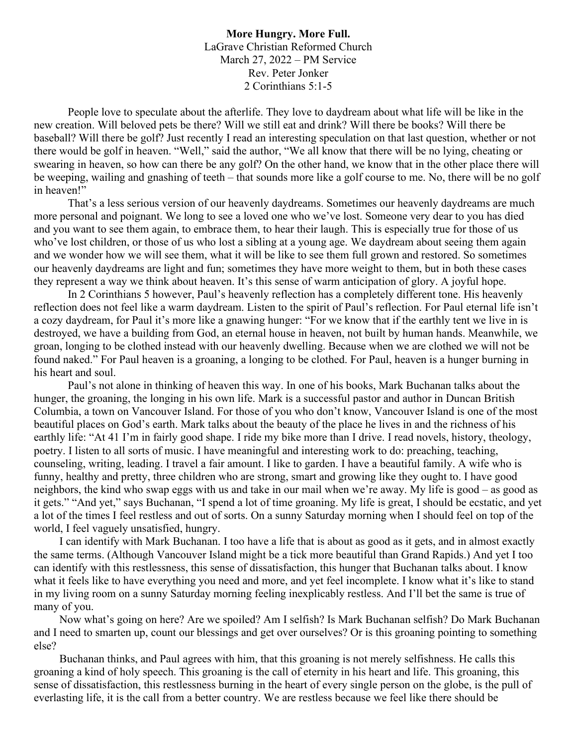**More Hungry. More Full.** LaGrave Christian Reformed Church March 27, 2022 – PM Service Rev. Peter Jonker 2 Corinthians 5:1-5

People love to speculate about the afterlife. They love to daydream about what life will be like in the new creation. Will beloved pets be there? Will we still eat and drink? Will there be books? Will there be baseball? Will there be golf? Just recently I read an interesting speculation on that last question, whether or not there would be golf in heaven. "Well," said the author, "We all know that there will be no lying, cheating or swearing in heaven, so how can there be any golf? On the other hand, we know that in the other place there will be weeping, wailing and gnashing of teeth – that sounds more like a golf course to me. No, there will be no golf in heaven!"

That's a less serious version of our heavenly daydreams. Sometimes our heavenly daydreams are much more personal and poignant. We long to see a loved one who we've lost. Someone very dear to you has died and you want to see them again, to embrace them, to hear their laugh. This is especially true for those of us who've lost children, or those of us who lost a sibling at a young age. We daydream about seeing them again and we wonder how we will see them, what it will be like to see them full grown and restored. So sometimes our heavenly daydreams are light and fun; sometimes they have more weight to them, but in both these cases they represent a way we think about heaven. It's this sense of warm anticipation of glory. A joyful hope.

In 2 Corinthians 5 however, Paul's heavenly reflection has a completely different tone. His heavenly reflection does not feel like a warm daydream. Listen to the spirit of Paul's reflection. For Paul eternal life isn't a cozy daydream, for Paul it's more like a gnawing hunger: "For we know that if the earthly tent we live in is destroyed, we have a building from God, an eternal house in heaven, not built by human hands. Meanwhile, we groan, longing to be clothed instead with our heavenly dwelling. Because when we are clothed we will not be found naked." For Paul heaven is a groaning, a longing to be clothed. For Paul, heaven is a hunger burning in his heart and soul.

Paul's not alone in thinking of heaven this way. In one of his books, Mark Buchanan talks about the hunger, the groaning, the longing in his own life. Mark is a successful pastor and author in Duncan British Columbia, a town on Vancouver Island. For those of you who don't know, Vancouver Island is one of the most beautiful places on God's earth. Mark talks about the beauty of the place he lives in and the richness of his earthly life: "At 41 I'm in fairly good shape. I ride my bike more than I drive. I read novels, history, theology, poetry. I listen to all sorts of music. I have meaningful and interesting work to do: preaching, teaching, counseling, writing, leading. I travel a fair amount. I like to garden. I have a beautiful family. A wife who is funny, healthy and pretty, three children who are strong, smart and growing like they ought to. I have good neighbors, the kind who swap eggs with us and take in our mail when we're away. My life is good – as good as it gets." "And yet," says Buchanan, "I spend a lot of time groaning. My life is great, I should be ecstatic, and yet a lot of the times I feel restless and out of sorts. On a sunny Saturday morning when I should feel on top of the world, I feel vaguely unsatisfied, hungry.

I can identify with Mark Buchanan. I too have a life that is about as good as it gets, and in almost exactly the same terms. (Although Vancouver Island might be a tick more beautiful than Grand Rapids.) And yet I too can identify with this restlessness, this sense of dissatisfaction, this hunger that Buchanan talks about. I know what it feels like to have everything you need and more, and yet feel incomplete. I know what it's like to stand in my living room on a sunny Saturday morning feeling inexplicably restless. And I'll bet the same is true of many of you.

Now what's going on here? Are we spoiled? Am I selfish? Is Mark Buchanan selfish? Do Mark Buchanan and I need to smarten up, count our blessings and get over ourselves? Or is this groaning pointing to something else?

Buchanan thinks, and Paul agrees with him, that this groaning is not merely selfishness. He calls this groaning a kind of holy speech. This groaning is the call of eternity in his heart and life. This groaning, this sense of dissatisfaction, this restlessness burning in the heart of every single person on the globe, is the pull of everlasting life, it is the call from a better country. We are restless because we feel like there should be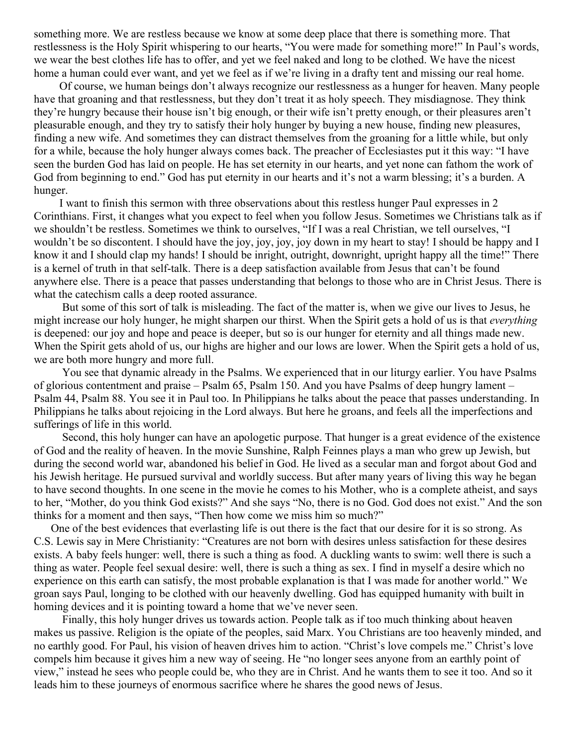something more. We are restless because we know at some deep place that there is something more. That restlessness is the Holy Spirit whispering to our hearts, "You were made for something more!" In Paul's words, we wear the best clothes life has to offer, and yet we feel naked and long to be clothed. We have the nicest home a human could ever want, and yet we feel as if we're living in a drafty tent and missing our real home.

Of course, we human beings don't always recognize our restlessness as a hunger for heaven. Many people have that groaning and that restlessness, but they don't treat it as holy speech. They misdiagnose. They think they're hungry because their house isn't big enough, or their wife isn't pretty enough, or their pleasures aren't pleasurable enough, and they try to satisfy their holy hunger by buying a new house, finding new pleasures, finding a new wife. And sometimes they can distract themselves from the groaning for a little while, but only for a while, because the holy hunger always comes back. The preacher of Ecclesiastes put it this way: "I have seen the burden God has laid on people. He has set eternity in our hearts, and yet none can fathom the work of God from beginning to end." God has put eternity in our hearts and it's not a warm blessing; it's a burden. A hunger.

I want to finish this sermon with three observations about this restless hunger Paul expresses in 2 Corinthians. First, it changes what you expect to feel when you follow Jesus. Sometimes we Christians talk as if we shouldn't be restless. Sometimes we think to ourselves, "If I was a real Christian, we tell ourselves, "I wouldn't be so discontent. I should have the joy, joy, joy, joy down in my heart to stay! I should be happy and I know it and I should clap my hands! I should be inright, outright, downright, upright happy all the time!" There is a kernel of truth in that self-talk. There is a deep satisfaction available from Jesus that can't be found anywhere else. There is a peace that passes understanding that belongs to those who are in Christ Jesus. There is what the catechism calls a deep rooted assurance.

 But some of this sort of talk is misleading. The fact of the matter is, when we give our lives to Jesus, he might increase our holy hunger, he might sharpen our thirst. When the Spirit gets a hold of us is that *everything* is deepened: our joy and hope and peace is deeper, but so is our hunger for eternity and all things made new. When the Spirit gets ahold of us, our highs are higher and our lows are lower. When the Spirit gets a hold of us, we are both more hungry and more full.

 You see that dynamic already in the Psalms. We experienced that in our liturgy earlier. You have Psalms of glorious contentment and praise – Psalm 65, Psalm 150. And you have Psalms of deep hungry lament – Psalm 44, Psalm 88. You see it in Paul too. In Philippians he talks about the peace that passes understanding. In Philippians he talks about rejoicing in the Lord always. But here he groans, and feels all the imperfections and sufferings of life in this world.

 Second, this holy hunger can have an apologetic purpose. That hunger is a great evidence of the existence of God and the reality of heaven. In the movie Sunshine, Ralph Feinnes plays a man who grew up Jewish, but during the second world war, abandoned his belief in God. He lived as a secular man and forgot about God and his Jewish heritage. He pursued survival and worldly success. But after many years of living this way he began to have second thoughts. In one scene in the movie he comes to his Mother, who is a complete atheist, and says to her, "Mother, do you think God exists?" And she says "No, there is no God. God does not exist." And the son thinks for a moment and then says, "Then how come we miss him so much?"

One of the best evidences that everlasting life is out there is the fact that our desire for it is so strong. As C.S. Lewis say in Mere Christianity: "Creatures are not born with desires unless satisfaction for these desires exists. A baby feels hunger: well, there is such a thing as food. A duckling wants to swim: well there is such a thing as water. People feel sexual desire: well, there is such a thing as sex. I find in myself a desire which no experience on this earth can satisfy, the most probable explanation is that I was made for another world." We groan says Paul, longing to be clothed with our heavenly dwelling. God has equipped humanity with built in homing devices and it is pointing toward a home that we've never seen.

 Finally, this holy hunger drives us towards action. People talk as if too much thinking about heaven makes us passive. Religion is the opiate of the peoples, said Marx. You Christians are too heavenly minded, and no earthly good. For Paul, his vision of heaven drives him to action. "Christ's love compels me." Christ's love compels him because it gives him a new way of seeing. He "no longer sees anyone from an earthly point of view," instead he sees who people could be, who they are in Christ. And he wants them to see it too. And so it leads him to these journeys of enormous sacrifice where he shares the good news of Jesus.